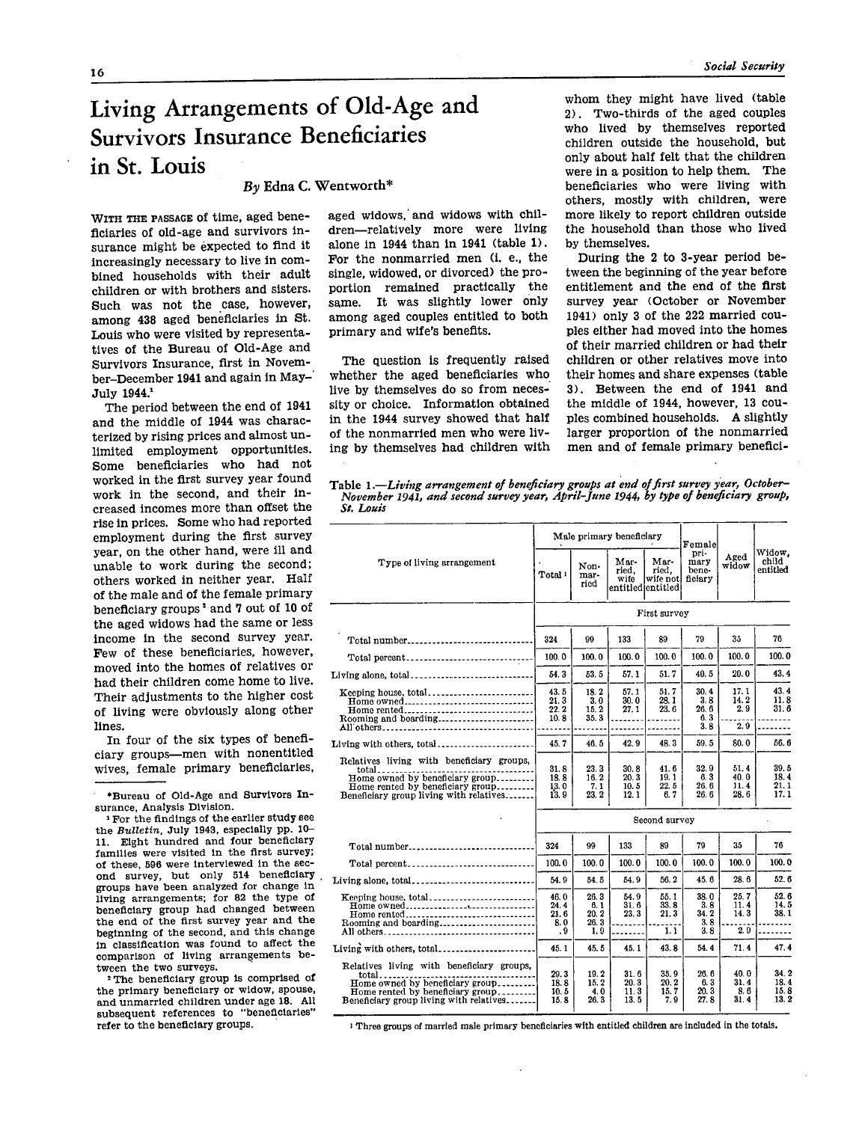## **Living Arrangements of Old-Age and Survivors Insurance Beneficiaries in St. Louis**

## *By* **Edna C. Wentworth\***

WITH THE PASSAGE of time, aged beneficiaries of old-age and survivors insurance might be expected to find it increasingly necessary to live in combined households with their adult children or with brothers and sisters. Such was not the case, however, among 438 aged beneficiaries in St. Louis who were visited by representatives of the Bureau of Old-Age and Survivors Insurance, first in November-December 1941 and again in May-July 1944.<sup>1</sup>

The period between the end of 1941 and the middle of 1944 was characterized by rising prices and almost unlimited employment opportunities. Some beneficiaries who had not worked in the first survey year found work in the second, and their increased incomes more than offset the rise in prices. Some who had reported employment during the first survey year, on the other hand, were ill and unable to work during the second; others worked in neither year. Half of the male and of the female primary beneficiary groups<sup>2</sup> and 7 out of 10 of the aged widows had the same or less income in the second survey year. Few of these beneficiaries, however, moved into the homes of relatives or had their children come home to live. Their adjustments to the higher cost of living were obviously along other lines.

In four of the six types of beneficiary groups—men with nonentitled wives, female primary beneficiaries,

\*Bureau of Old-Age and Survivors Insurance, Analysis Division.

<sup>1</sup> For the findings of the earlier study see the *Bulletin*, July 1943, especially pp. 10-11. Eight hundred and four beneficiary families were visited in the first survey; of these, 596 were interviewed in the second survey, but only 514 beneficiary groups have been analyzed for change in living arrangements; for 82 the type of beneficiary group had changed between the end of the first survey year and the beginning of the second, and this change in classification was found to affect the comparison of living arrangements between the two surveys.

<sup>2</sup> The beneficiary group is comprised of the primary beneficiary or widow, spouse, and unmarried children under age 18. All subsequent references to "beneficiaries" refer to the beneficiary groups.

aged widows, and widows with children—relatively more were living alone in 1944 than in 1941 (table 1). For the nonmarried men (i. e., the single, widowed, or divorced) the proportion remained practically the same. It was slightly lower only among aged couples entitled to both primary and wife's benefits.

The question is frequently raised whether the aged beneficiaries who live by themselves do so from necessity or choice. Information obtained in the 1944 survey showed that half of the nonmarried men who were living by themselves had children with whom they might have lived (table 2) . Two-thirds of the aged couples who lived by themselves reported children outside the household, but only about half felt that the children were in a position to help them. The beneficiaries who were living with others, mostly with children, were more likely to report children outside the household than those who lived by themselves.

During the 2 to 3-year period between the beginning of the year before entitlement and the end of the first survey year (October or November 1941) only 3 of the 222 married couples either had moved into the homes of their married children or had their children or other relatives move into their homes and share expenses (table 3) . Between the end of 1941 and the middle of 1944, however, 13 couples combined households. A slightly larger proportion of the nonmarried men and of female primary benefici-

Table 1.—*Living arrangement of beneficiary groups at end of first survey year, October- November 1941, and second survey year, April-June 1944, by type of beneficiary group, St. Louis* 

|                                                                                                                                                                      | Male primary beneficiary           |                                    |                                |                                                 | Female                             |                              |                               |
|----------------------------------------------------------------------------------------------------------------------------------------------------------------------|------------------------------------|------------------------------------|--------------------------------|-------------------------------------------------|------------------------------------|------------------------------|-------------------------------|
| Type of living arrangement                                                                                                                                           | Total !                            | Non-<br>mar-<br>ried               | Mar-<br>ried.<br>wife          | Mar-<br>ried.<br>wife not <br>entitled entitled | pri-<br>mary<br>bene-<br>ficiary   | Aged<br>widow                | Widow,<br>child<br>entitled   |
|                                                                                                                                                                      | First survey                       |                                    |                                |                                                 |                                    |                              |                               |
| Total number                                                                                                                                                         | 324                                | 99                                 | 133                            | 89                                              | 79                                 | 35                           | 76                            |
| Total percent                                                                                                                                                        | 100.0                              | 100.0                              | 100.0                          | 100.0                                           | 100.0                              | 100.0                        | 100.0                         |
| Living alone, total                                                                                                                                                  | 54.3                               | 53.5                               | 57.1                           | 51.7                                            | 40.5                               | 20.0                         | 43.4                          |
| Keeping house, total<br>Home owned<br>Home rented<br>Rooming and boarding                                                                                            | 43.5<br>21.3<br>22.2<br>10.8       | 18.2<br>3.0<br>15.2<br>35.3        | 57. 1<br>30.0<br>27.1          | 51.7<br>28.1<br>23.6                            | 30.4<br>3.8<br>26.6<br>6.3<br>3.8  | 17.1<br>14.2<br>2.9<br>2.9   | 43.4<br>11.8<br>31.6          |
| Living with others, total                                                                                                                                            | 45.7                               | 46.5                               | 42.9                           | 48.3                                            | 59.5                               | 80.0                         | 56.6                          |
| Relatives living with beneficiary groups,<br>total<br>Home owned by beneficiary group<br>Home rented by beneficiary group<br>Beneficiary group living with relatives | 31.8<br>18.8<br>13.0<br>13.9       | 23.3<br>16.2<br>7.1<br>23. 2       | 30.8<br>20.3<br>10.5<br>12.1   | 41.6<br>19.1<br>22. 5<br>6.7                    | 32.9<br>6.3<br>26.6<br>26.6        | 51.4<br>40.0<br>11.4<br>28.6 | 39.5<br>18.4<br>21.1<br>17.1  |
|                                                                                                                                                                      | Second survey                      |                                    |                                |                                                 |                                    |                              |                               |
| Total number                                                                                                                                                         | 324                                | 99                                 | 133                            | 89                                              | 79                                 | 35                           | 76                            |
| Total percent                                                                                                                                                        | 100.0                              | 100.0                              | 100.0                          | 100.0                                           | 100.0                              | 100.0                        | 100.0                         |
| Living alone, total                                                                                                                                                  | 54.9                               | 54.5                               | 54.9                           | 56.2                                            | 45.6                               | 28.6                         | 52.6                          |
| Keeping house, total<br>Home owned<br>Home rented<br>Rooming and boarding<br>All others                                                                              | 46.0<br>24.4<br>21.6<br>8.0<br>. 9 | 26.3<br>6.1<br>20.2<br>26.3<br>1.9 | 54.9<br>31.6<br>23.3<br>------ | 55.1<br>33.8<br>21.3<br>1.1                     | 38.0<br>3. 8<br>34.2<br>3.8<br>3.8 | 25.7<br>11.4<br>14.3<br>2.9  | 52. 6<br>14.5<br>38.1         |
| Living with others, total                                                                                                                                            | 45.1                               | 45.5                               | 45.1                           | 43.8                                            | 54.4                               | 71.4                         | 47.4                          |
| Relatives living with beneficiary groups,<br>total<br>Home owned by beneficiary group<br>Home rented by beneficiary group<br>Beneficiary group living with relatives | 29.3<br>18.8<br>10.5<br>15.8       | 19.2<br>15.2<br>4.0<br>26. 3       | 31.6<br>20.3<br>11.3<br>13.5   | 35.9<br>20.2<br>15.7<br>7.9                     | 26.6<br>6.3<br>20.3<br>27.8        | 40.0<br>31.4<br>8.6<br>31.4  | 34. 2<br>18.4<br>15.8<br>13.2 |

<sup>1</sup> Three groups of married male primary beneficiaries with entitled children are included in the totals.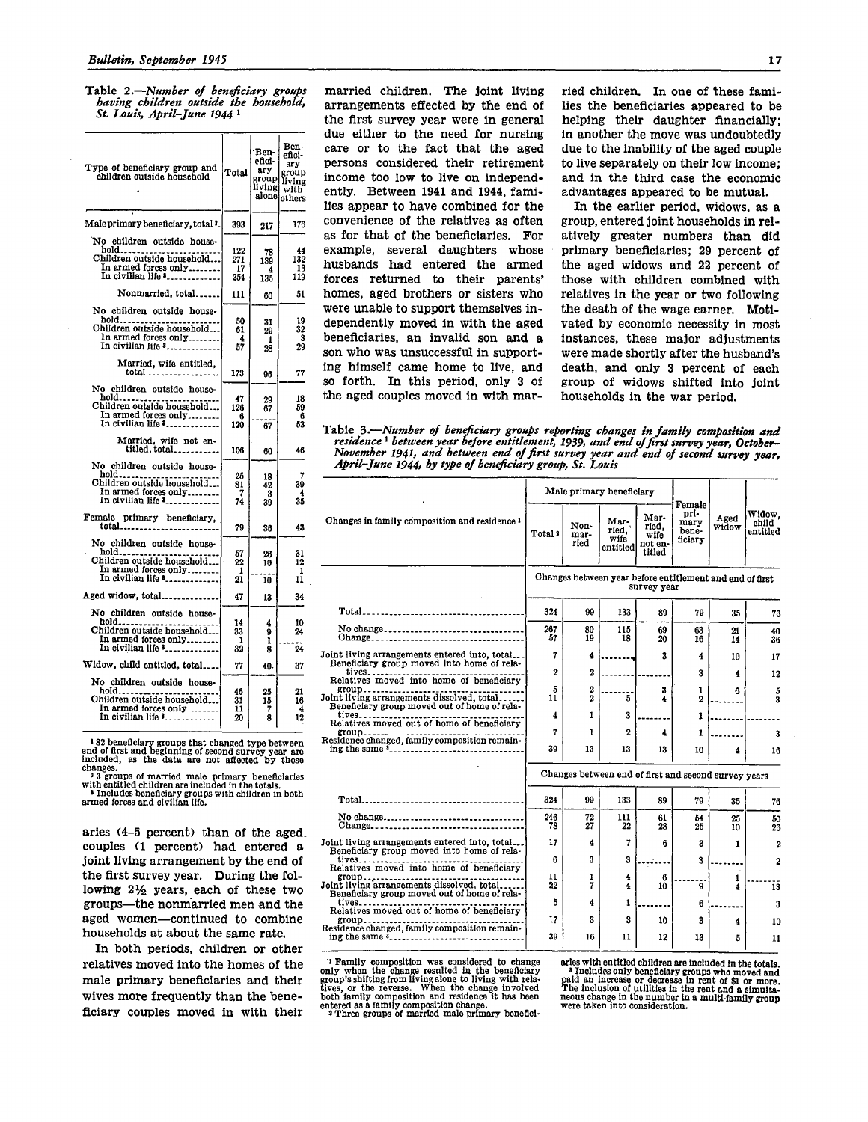Table 2.—*Number of beneficiary groups having children outside the household, St. Louis, April-June 1944<sup>1</sup>*

| Type of beneficiary group and<br>children outside household                                                         | Total                   | ·Ben-<br>efici-<br>ary<br>group<br>living<br>alonel | Ben-<br>efici-<br>ary<br>group<br>living<br>with<br>others |
|---------------------------------------------------------------------------------------------------------------------|-------------------------|-----------------------------------------------------|------------------------------------------------------------|
| Male primary beneficiary, total '.                                                                                  | 393                     | 217                                                 | 176                                                        |
| No children outside house-<br>hold<br>Children outside household<br>In armed forces only<br>In civilian life *      | 122<br>271<br>17<br>254 | 78<br>139<br>4<br>135                               | 44<br>132<br>13<br>119                                     |
| Nonmarried, total                                                                                                   | 111                     | 60                                                  | 51                                                         |
| No children outside house-<br>hold<br>Children outside household<br>In armed forces only<br>In civilian life *      | 50<br>61<br>4<br>57     | 31<br>29<br>1<br>28                                 | 19<br>32<br>3<br>29                                        |
| Married, wife entitled,<br>total                                                                                    | 173                     | 96                                                  | 77                                                         |
| No children outside house-<br>hold<br>Children outside household<br>In armed forces only<br>In civilian life *      | 47<br>126<br>6<br>120   | 29<br>67<br>67                                      | 18<br>59<br>-6<br>53                                       |
| Married, wife not en-<br>titled, total                                                                              | 106                     | 60                                                  | 46                                                         |
| No children outside house-<br>hold<br>Children outside household<br>In armed forces only<br>In civilian life *      | 25<br>81<br>7<br>74     | 18<br>42<br>3<br>39                                 | 7<br>39<br>4<br>35                                         |
| Female primary beneficiary,<br>$\frac{1}{\text{total}}$                                                             | 79                      | 36                                                  | 43                                                         |
| No children outside house-<br>$hold$<br>Children outside household<br>In armed forces only<br>In civilian life *    | 57<br>22<br>1<br>21     | 26<br>10<br>10                                      | 31<br>12<br>1<br>11                                        |
| Aged widow, total                                                                                                   | 47                      | 13                                                  | 34                                                         |
| No children outside house-<br>hold<br>Children outside household<br>In armed forces only<br>In civilian life *_____ | 14<br>33<br>1<br>32     | 4<br>9<br>1<br>8                                    | 10<br>24<br>24                                             |
| Widow, child entitled, total                                                                                        | 77                      | 40.                                                 | 37                                                         |
| No children outside house-                                                                                          |                         |                                                     |                                                            |
| hold<br>Children outside household<br>In armed forces only<br>In civilian life *                                    | 46<br>31<br>11<br>20    | 25<br>15<br>7<br>8                                  | 21<br>16<br>4<br>12                                        |

182 beneficiary groups that changed type between<br>end of first and beginning of second survey year are<br>included, as the data are not affected by those

end of first and beginning of second survey year are<br>included, as the data are not affected by those<br>included, as the data are not affected by those<br>changes.<br>"When thield children are included in the totals.<br>"When the tota

aries (4-5 percent) than of the aged, couples (1 percent) had entered a joint living arrangement by the end of the first survey year. During the following 2½ years, each of these two groups—the nonmarried men and the aged women—continued to combine households at about the same rate.

In both periods, children or other relatives moved into the homes of the male primary beneficiaries and their wives more frequently than the beneficiary couples moved in with their

married children. The joint living arrangements effected by the end of the first survey year were in general due either to the need for nursing care or to the fact that the aged persons considered their retirement income too low to live on independently. Between 1941 and 1944, families appear to have combined for the convenience of the relatives as often as for that of the beneficiaries. For example, several daughters whose husbands had entered the armed forces returned to their parents' homes, aged brothers or sisters who were unable to support themselves independently moved in with the aged beneficiaries, an invalid son and a son who was unsuccessful in supporting himself came home to live, and so forth. In this period, only 3 of the aged couples moved in with married children. In one of these families the beneficiaries appeared to be helping their daughter financially; in another the move was undoubtedly due to the inability of the aged couple to live separately on their low income; and in the third case the economic advantages appeared to be mutual.

In the earlier period, widows, as a group, entered joint households in relatively greater numbers than did primary beneficiaries; 29 percent of the aged widows and 22 percent of those with children combined with relatives in the year or two following the death of the wage earner. Motivated by economic necessity in most instances, these major adjustments were made shortly after the husband's death, and only 3 percent of each group of widows shifted into joint households in the war period.

Table 3.—Number of beneficiary groups reporting changes in family composition and<br>residence <sup>1</sup> between year before entitlement, 1939, and end of first survey year, October–<br>November 1941, and between end of first survey y

|                                                                                                                     | Male primary beneficiary                                                |                                  |                                   |                                            |                                            |               |                             |
|---------------------------------------------------------------------------------------------------------------------|-------------------------------------------------------------------------|----------------------------------|-----------------------------------|--------------------------------------------|--------------------------------------------|---------------|-----------------------------|
| Changes in family composition and residence <sup>1</sup>                                                            | Total ?                                                                 | Non-<br>mar-<br>ried             | Mar-<br>ried,<br>wife<br>entitled | Mar-<br>ried.<br>wife<br>not en-<br>titled | Female<br>pri-<br>mary<br>bene-<br>ficiary | Aged<br>widow | Widow.<br>child<br>entitled |
|                                                                                                                     | Changes between year before entitlement and end of first<br>survey year |                                  |                                   |                                            |                                            |               |                             |
|                                                                                                                     | 324                                                                     | 99                               | 133                               | 89                                         | 79                                         | 35            | 76                          |
| No change<br>Change                                                                                                 | 267<br>57                                                               | 80<br>19                         | 115<br>18                         | 69<br>20                                   | 63<br>16                                   | 21<br>14      | 40<br>36                    |
| Joint living arrangements entered into, total<br>Beneficiary group moved into home of rela-                         | 7                                                                       | 4                                |                                   | 3                                          | 4                                          | 10            | 17                          |
| tives<br>Relatives moved into home of beneficiary                                                                   | $\mathbf 2$                                                             | 2                                |                                   |                                            | 3                                          | 4             | 12                          |
| group <sub>----</sub><br>Joint living arrangements dissolved, total<br>Beneficiary group moved out of home of rela- | 5<br>11                                                                 | $\overline{2}$<br>$\overline{2}$ | 5                                 | 3<br>4                                     | 1<br>2                                     | 6             | 5<br>3                      |
| $tives$ <sub>-----</sub> --<br>Relatives moved out of home of beneficiary                                           | 4                                                                       | 1                                | 3                                 |                                            | 1                                          |               |                             |
| $group$<br>Residence changed, family composition remain-                                                            | 7                                                                       | 1                                | 2                                 | 4                                          | 1                                          |               | 3                           |
|                                                                                                                     | 39                                                                      | 13                               | 13                                | 13                                         | 10                                         | 4             | 16                          |
|                                                                                                                     | Changes between end of first and second survey years                    |                                  |                                   |                                            |                                            |               |                             |
|                                                                                                                     | 324                                                                     | 99                               | 133                               | 89                                         | 79                                         | 35            | 76                          |
| No change<br>Change                                                                                                 | 246<br>78                                                               | 72<br>27                         | 111<br>22                         | 61<br>28                                   | 54<br>25                                   | 25<br>10      | 50<br>26                    |
| Joint living arrangements entered into, total<br>Beneficiary group moved into home of rela-                         | 17                                                                      | 4                                | 7                                 | 6                                          | 3                                          | 1             | $\overline{2}$              |
| $tives$<br>Relatives moved into home of beneficiary                                                                 | 6                                                                       | 3                                | 3                                 |                                            | 3                                          |               | 2                           |
| $group$<br>Joint living arrangements dissolved, total<br>Beneficiary group moved out of home of rela-               | 11<br>22                                                                | 1<br>7                           | 4<br>4                            | 6<br>10                                    | 9                                          | 1<br>4        | 13                          |
| tives<br>Relatives moved out of home of beneficiary                                                                 | 5                                                                       | 4                                | 1                                 |                                            | 6                                          |               | 3                           |
| group<br>Residence changed, family composition remain-                                                              | 17<br>39                                                                | 3<br>16                          | 3<br>11                           | 10<br>12                                   | 3                                          | 4             | 10                          |
|                                                                                                                     |                                                                         |                                  |                                   |                                            | 13                                         | 5             | 11                          |

<sup>1</sup> Family composition was considered to change only when the change resulted in the beneficiary only when the change residued in the beneficial group's shifting from living alone to living with relatives, or the reverse. When the change involved both family composition change.<br>
2 Three groups of married male primary arles with entitled children are included in the totals.<br>
'Includes only beneficiary groups who moved and<br>
paid an increase or decrease in rent of \$1 or more.<br>
The inclusion of utilities in the rent and a simulta-<br>
neous c